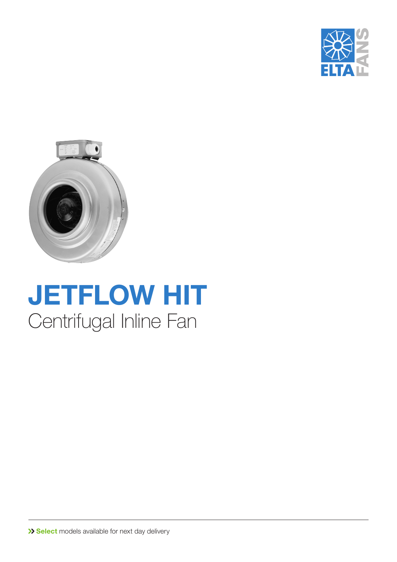



## **JETFLOW HIT** Centrifugal Inline Fan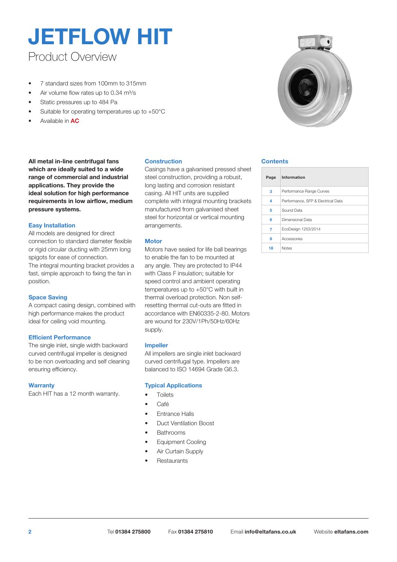### Product Overview **JETFLOW HIT**

- 7 standard sizes from 100mm to 315mm
- Air volume flow rates up to 0.34 m<sup>3</sup>/s
- Static pressures up to 484 Pa
- Suitable for operating temperatures up to +50°C
- Available in **AC**

#### **All metal in-line centrifugal fans Contents which are ideally suited to a wide range of commercial and industrial applications. They provide the ideal solution for high performance requirements in low airflow, medium pressure systems.**

#### **Easy Installation**

All models are designed for direct connection to standard diameter flexible or rigid circular ducting with 25mm long spigots for ease of connection. The integral mounting bracket provides a fast, simple approach to fixing the fan in position.

#### **Space Saving**

A compact casing design, combined with high performance makes the product ideal for ceiling void mounting.

#### **Efficient Performance**

The single inlet, single width backward curved centrifugal impeller is designed to be non overloading and self cleaning ensuring efficiency.

#### **Warranty**

Each HIT has a 12 month warranty.

#### **Construction**

Casings have a galvanised pressed sheet steel construction, providing a robust, long lasting and corrosion resistant casing. All HIT units are supplied complete with integral mounting brackets manufactured from galvanised sheet steel for horizontal or vertical mounting arrangements.

#### **Motor**

Motors have sealed for life ball bearings to enable the fan to be mounted at any angle. They are protected to IP44 with Class F insulation; suitable for speed control and ambient operating temperatures up to +50°C with built in thermal overload protection. Non selfresetting thermal cut-outs are fitted in accordance with EN60335-2-80. Motors are wound for 230V/1Ph/50Hz/60Hz supply.

#### **Impeller**

All impellers are single inlet backward curved centrifugal type. Impellers are balanced to ISO 14694 Grade G6.3.

#### **Typical Applications**

- **Toilets**
- Café
- Entrance Halls
- Duct Ventilation Boost
- **Bathrooms**
- Equipment Cooling
- Air Curtain Supply
- **Restaurants**



| Page | Information                        |
|------|------------------------------------|
| 3    | Performance Range Curves           |
| 4    | Performance, SFP & Electrical Data |
| 5    | Sound Data                         |
| 6    | Dimensional Data                   |
| 7    | EcoDesign 1253/2014                |
| 8    | Accessories                        |
| 18   | <b>Notes</b>                       |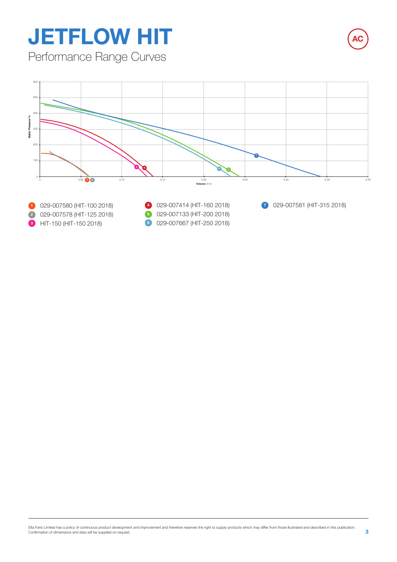# **JETFLOW HIT**

Performance Range Curves

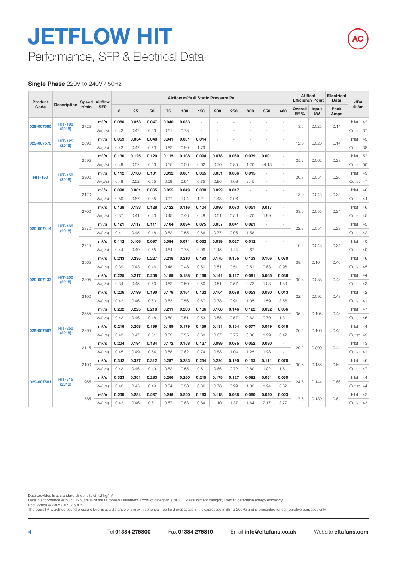### Performance, SFP & Electrical Data **JETFLOW HIT**

#### **Single Phase** 220V to 240V / 50Hz

| Product        | <b>Speed Airflow</b> |                                                                                                                                                                                                                               |               |          |       | Airflow m <sup>3</sup> /s @ Static Pressure Pa |       |       |       |        |                |       | <b>At Best</b><br><b>Efficiency Point</b> |                | Electrical<br>Data | dBA         |              |             |    |        |    |
|----------------|----------------------|-------------------------------------------------------------------------------------------------------------------------------------------------------------------------------------------------------------------------------|---------------|----------|-------|------------------------------------------------|-------|-------|-------|--------|----------------|-------|-------------------------------------------|----------------|--------------------|-------------|--------------|-------------|----|--------|----|
| Code           | <b>Description</b>   | r/min                                                                                                                                                                                                                         | <b>SFP</b>    | $\Omega$ | 25    | 50                                             | 75    | 100   | 150   | 200    | 250            | 300   | 350                                       | 400            | Overall<br>Eff %   | Input<br>kW | Peak<br>Amps | @ 3m        |    |        |    |
|                | <b>HIT-100</b>       |                                                                                                                                                                                                                               | $m^3/s$       | 0.060    | 0.053 | 0.047                                          | 0.040 | 0.033 | ä,    | $\sim$ | ÷.             | ÷,    | $\sim$                                    | $\sim$         |                    |             |              | Inlet       | 42 |        |    |
| 029-007580     | (2018)               | 2725                                                                                                                                                                                                                          | W/(L/s)       | 0.42     | 0.47  | 0.53                                           | 0.61  | 0.73  | ä,    | ÷.     | $\sim$         | ÷,    | $\sim$                                    | $\sim$         | 13.5               | 0.025       | 0.14         | Outlet      | 37 |        |    |
|                | <b>HIT-125</b>       |                                                                                                                                                                                                                               | $m^3/s$       | 0.059    | 0.054 | 0.048                                          | 0.041 | 0.031 | 0.014 | ÷,     | ÷.             | ä,    | $\sim$                                    | ÷.             |                    |             |              | Inlet       | 43 |        |    |
| 029-007578     | (2018)               | 2690                                                                                                                                                                                                                          | W/(L/s)       | 0.43     | 0.47  | 0.53                                           | 0.62  | 0.80  | 1.79  | ÷.     | $\overline{a}$ | ÷     | ÷.                                        | $\overline{a}$ | 12.6               | 0.026       | 0.14         | Outlet      | 38 |        |    |
|                |                      |                                                                                                                                                                                                                               | $m^3/s$       | 0.130    | 0.125 | 0.120                                          | 0.115 | 0.108 | 0.094 | 0.078  | 0.060          | 0.039 | 0.001                                     | $\overline{a}$ |                    |             |              | Inlet       | 52 |        |    |
|                |                      | 2595                                                                                                                                                                                                                          | W/(L/s)       | 0.49     | 0.52  | 0.53                                           | 0.55  | 0.56  | 0.62  | 0.70   | 0.85           | 1.20  | 44.13                                     | $\overline{a}$ | 25.2               | 0.062       | 0.28         | Outlet      | 50 |        |    |
|                | <b>HIT-150</b>       |                                                                                                                                                                                                                               | $m^3/s$       | 0.112    | 0.108 | 0.101                                          | 0.092 | 0.081 | 0.065 | 0.051  | 0.036          | 0.015 | ÷,                                        | ä,             |                    |             |              | Inlet       | 49 |        |    |
| <b>HIT-150</b> | (2018)               | 2300                                                                                                                                                                                                                          | W/(L/s)       | 0.48     | 0.52  | 0.55                                           | 0.59  | 0.64  | 0.75  | 0.86   | 1.08           | 2.15  | ÷,                                        |                | 20.3               | 0.051       | 0.26         | Outlet      | 47 |        |    |
|                |                      |                                                                                                                                                                                                                               | $m^3/s$       | 0.090    | 0.081 | 0.065                                          | 0.055 | 0.049 | 0.038 | 0.029  | 0.017          |       |                                           |                |                    |             |              | Inlet       | 46 |        |    |
|                |                      | 2120                                                                                                                                                                                                                          | W/(L/s)       | 0.59     | 0.67  | 0.85                                           | 0.97  | 1.04  | 1.21  | 1.43   | 2.06           |       |                                           |                | 13.0               | 0.045       | 0.25         | Outlet 44   |    |        |    |
|                |                      | 2700                                                                                                                                                                                                                          | $m^3/s$       | 0.138    | 0.133 | 0.128                                          | 0.122 | 0.116 | 0.104 | 0.090  | 0.073          | 0.051 | 0.017                                     |                |                    |             |              | Inlet       | 46 |        |    |
|                |                      |                                                                                                                                                                                                                               | W/(L/s)       | 0.37     | 0.41  | 0.43                                           | 0.45  | 0.46  | 0.48  | 0.51   | 0.56           | 0.70  | 1.99                                      |                | 33.6               | 0.055       | 0.24         | Outlet 45   |    |        |    |
| 029-007414     | <b>HIT-160</b>       | 2370                                                                                                                                                                                                                          | $m^3/s$       | 0.121    | 0.117 | 0.111                                          | 0.104 | 0.094 | 0.075 | 0.057  | 0.041          | 0.021 | ÷,                                        |                |                    |             |              | Inlet       | 43 |        |    |
|                | (2018)               |                                                                                                                                                                                                                               | W/(L/s)       | 0.41     | 0.45  | 0.48                                           | 0.52  | 0.55  | 0.66  | 0.77   | 0.95           | 1.58  | ÷,                                        |                | 22.3               | 0.051       | 0.23         | Outlet      | 42 |        |    |
|                |                      | 2715                                                                                                                                                                                                                          | $m^3/s$       | 0.112    | 0.106 | 0.097                                          | 0.084 | 0.071 | 0.052 | 0.039  | 0.027          | 0.012 |                                           |                | 16.2               | 0.043       | 0.24         | Inlet       | 40 |        |    |
|                |                      |                                                                                                                                                                                                                               | W/(L/s)       | 0.44     | 0.49  | 0.55                                           | 0.64  | 0.75  | 0.96  | 1.15   | 1.44           | 2.67  | $\sim$                                    |                |                    |             |              | Outlet      | 40 |        |    |
|                |                      | 2565                                                                                                                                                                                                                          | $m^3/s$       | 0.243    | 0.235 | 0.227                                          | 0.218 | 0.210 | 0.193 | 0.175  | 0.155          | 0.133 | 0.106                                     | 0.070          | 38.4               |             | 0.46         | Inlet       | 46 |        |    |
|                |                      |                                                                                                                                                                                                                               | W/(L/s)       | 0.39     | 0.43  | 0.46                                           | 0.48  | 0.48  | 0.50  | 0.51   | 0.51           | 0.51  | 0.63                                      | 0.96           |                    | 0.104       |              |             |    | Outlet | 45 |
|                | <b>HIT-200</b>       |                                                                                                                                                                                                                               | $m^3/s$       | 0.225    | 0.217 | 0.208                                          | 0.199 | 0.188 | 0.166 | 0.141  | 0.117          | 0.091 | 0.065                                     | 0.036          |                    |             |              | Inlet       | 44 |        |    |
| 029-007133     | (2018)               | 2395                                                                                                                                                                                                                          | W/(L/s)       | 0.34     | 0.45  | 0.50                                           | 0.52  | 0.50  | 0.50  | 0.51   | 0.57           | 0.73  | 1.03                                      | 1.89           | 30.8               | 0.088       | 0.43         | Outlet      | 43 |        |    |
|                |                      | 2100                                                                                                                                                                                                                          | $m^3/s$       | 0.206    | 0.199 | 0.190                                          | 0.179 | 0.164 | 0.132 | 0.104  | 0.078          | 0.053 | 0.030                                     | 0.013          |                    |             |              | Inlet       | 42 |        |    |
|                |                      |                                                                                                                                                                                                                               | W/(L/s)       | 0.42     | 0.46  | 0.50                                           | 0.53  | 0.56  | 0.67  | 0.78   | 0.91           | 1.05  | 1.59                                      | 3.66           | 22.4               | 0.092       | 0.43         | Outlet   41 |    |        |    |
|                |                      | 2555                                                                                                                                                                                                                          | $m^3/s$       | 0.232    | 0.225 | 0.218                                          | 0.211 | 0.203 | 0.186 | 0.168  | 0.146          | 0.122 | 0.092                                     | 0.056          |                    |             | 0.48         | Inlet       | 47 |        |    |
|                |                      |                                                                                                                                                                                                                               | W/(L/s)       | 0.42     | 0.46  | 0.48                                           | 0.50  | 0.51  | 0.53  | 0.55   | 0.57           | 0.62  | 0.79                                      | 1.31           | 35.3               | 0.105       |              | Outlet 46   |    |        |    |
| 029-007667     | <b>HIT-250</b>       | 2295                                                                                                                                                                                                                          | $m^3/s$       | 0.216    | 0.208 | 0.199                                          | 0.189 | 0.179 | 0.156 | 0.131  | 0.104          | 0.077 | 0.049                                     | 0.018          | 26.5               | 0.100       | 0.45         | Inlet       | 44 |        |    |
|                | (2018)               |                                                                                                                                                                                                                               | W/(L/s)       | 0.43     | 0.47  | 0.51                                           | 0.53  | 0.55  | 0.60  | 0.67   | 0.75           | 0.88  | 1.29                                      | 3.42           |                    |             |              | Outlet      | 43 |        |    |
|                |                      |                                                                                                                                                                                                                               | $m^3/s$       | 0.204    | 0.194 | 0.184                                          | 0.172 | 0.158 | 0.127 | 0.099  | 0.075          | 0.052 | 0.030                                     | $\sim$         |                    |             | 0.44         | Inlet       | 43 |        |    |
|                |                      | 2115                                                                                                                                                                                                                          | W/(L/s)       | 0.45     | 0.49  | 0.54                                           | 0.58  | 0.62  | 0.74  | 0.88   | 1.04           | 1.25  | 1.98                                      | $\sim$         | 20.2               | 0.099       |              | Outlet   41 |    |        |    |
|                |                      |                                                                                                                                                                                                                               | $m^3/s$       | 0.342    | 0.327 | 0.312                                          | 0.297 | 0.283 | 0.254 | 0.224  | 0.190          | 0.153 | 0.111                                     | 0.070          |                    |             |              | Inlet       | 46 |        |    |
|                |                      | 2190                                                                                                                                                                                                                          | W/(L/s)       | 0.42     | 0.46  | 0.49                                           | 0.52  | 0.55  | 0.61  | 0.66   | 0.72           | 0.80  | 1.02                                      | 1.61           | 30.6               | 0.156       | 0.69         | Outlet      | 47 |        |    |
|                | <b>HIT-315</b>       |                                                                                                                                                                                                                               | $m^3/s$       | 0.323    | 0.301 | 0.283                                          | 0.266 | 0.250 | 0.215 | 0.175  | 0.127          | 0.082 | 0.051                                     | 0.030          |                    |             |              | Inlet       | 44 |        |    |
| 029-007581     | (2018)               | 1965<br>W/(L/s)<br>3.32<br>0.40<br>0.49<br>0.54<br>0.58<br>0.66<br>0.78<br>0.99<br>1.33<br>1.94<br>0.45<br>0.220<br>0.085<br>0.023<br>$m^3/s$<br>0.299<br>0.284<br>0.267<br>0.246<br>0.163<br>0.060<br>0.040<br>0.118<br>1785 | 24.5<br>0.144 |          | 0.66  | Outlet                                         | 44    |       |       |        |                |       |                                           |                |                    |             |              |             |    |        |    |
|                |                      |                                                                                                                                                                                                                               |               |          |       |                                                |       |       |       |        | 0.64           | Inlet | 42                                        |                |                    |             |              |             |    |        |    |
|                |                      |                                                                                                                                                                                                                               | W/(L/s)       | 0.42     | 0.46  | 0.51                                           | 0.57  | 0.63  | 0.84  | 1.10   | 1.37           | 1.64  | 2.17                                      | 3.77           | 17.6               | 0.139       |              | Outlet      | 43 |        |    |

**AC**

Data provided is at standard air density of 1.2 kg/mª.<br>Data in accordance with ErP 1253/2014 of the European Parliament. Product category is NRVU. Measurement category used to determine energy efficiency: C.<br>Peak Amps @ 23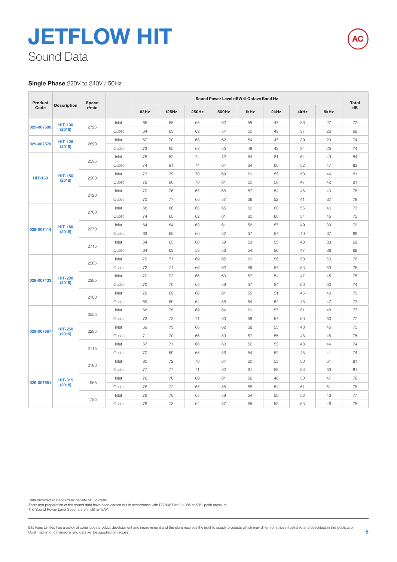### Sound Data **JETFLOW HIT**

#### **Single Phase** 220V to 240V / 50Hz

| Product        |                    | Speed |        |        |       |       | Sound Power Level dBW @ Octave Band Hz |      |      |      |      | <b>Total</b> |    |
|----------------|--------------------|-------|--------|--------|-------|-------|----------------------------------------|------|------|------|------|--------------|----|
| Code           | <b>Description</b> | r/min |        | 63Hz   | 125Hz | 250Hz | 500Hz                                  | 1kHz | 2kHz | 4kHz | 8kHz | dB           |    |
|                | <b>HIT-100</b>     |       | Inlet  | 65     | 68    | 65    | 62                                     | 55   | 47   | 36   | 27   | 72           |    |
| 029-007580     | (2018)             | 2725  | Outlet | 64     | 63    | 62    | 54                                     | 50   | 43   | 37   | 26   | 68           |    |
|                | <b>HIT-125</b>     |       | Inlet  | 67     | 70    | 68    | 62                                     | 54   | 47   | 39   | 29   | 74           |    |
| 029-007578     | (2018)             | 2690  | Outlet | 73     | 65    | 63    | 55                                     | 49   | 42   | 34   | 25   | 74           |    |
|                |                    |       | Inlet  | 75     | 82    | 74    | 72                                     | 64   | 61   | 54   | 49   | 84           |    |
|                |                    | 2595  | Outlet | 74     | 81    | 74    | 64                                     | 64   | 60   | 52   | 47   | 83           |    |
|                | <b>HIT-150</b>     |       | Inlet  | 73     | 79    | 70    | 69                                     | 61   | 58   | 50   | 44   | 81           |    |
| <b>HIT-150</b> | (2018)             | 2300  | Outlet | 72     | 80    | 70    | 61                                     | 60   | 56   | 47   | 42   | 81           |    |
|                |                    |       | Inlet  | 70     | 76    | 67    | 66                                     | 57   | 54   | 46   | 40   | 78           |    |
|                |                    | 2120  | Outlet | 70     | 77    | 66    | 57                                     | 56   | 52   | 41   | 37   | 78           |    |
|                |                    |       | Inlet  | 68     | 66    | 65    | 65                                     | 60   | 60   | 55   | 46   | 73           |    |
|                |                    | 2700  | Outlet | 74     | 65    | 62    | 61                                     | 60   | 60   | 54   | 45   | 75           |    |
| 029-007414     | <b>HIT-160</b>     |       | Inlet  | 64     | 64    | 63    | 61                                     | 56   | 57   | 49   | 39   | 70           |    |
|                | (2018)             | 2370  | Outlet | 63     | 65    | 60    | 57                                     | 57   | 57   | 49   | 37   | 69           |    |
|                |                    |       | Inlet  | 64     | 65    | 60    | 59                                     | 53   | 53   | 43   | 33   | 69           |    |
|                |                    | 2715  | Outlet | 64     | 63    | 58    | 56                                     | 54   | 56   | 47   | 36   | 68           |    |
|                |                    |       | Inlet  | 72     | 71    | 69    | 65                                     | 60   | 56   | 50   | 50   | 76           |    |
|                |                    | 2565  | Outlet | 72     | 71    | 66    | 62                                     | 59   | 57   | 53   | 53   | 76           |    |
|                | <b>HIT-200</b>     |       | Inlet  | 70     | 72    | 66    | 63                                     | 57   | 54   | 47   | 45   | 75           |    |
| 029-007133     | (2018)             | 2395  | Outlet | 70     | 70    | 65    | 59                                     | 57   | 54   | 50   | 50   | 74           |    |
|                |                    |       | Inlet  | 72     | 69    | 66    | 61                                     | 55   | 51   | 45   | 40   | 75           |    |
|                |                    | 2100  | Outlet | 69     | 69    | 64    | 58                                     | 54   | 52   | 48   | 47   | 73           |    |
|                |                    |       | Inlet  | 68     | 75    | 69    | 64                                     | 61   | 57   | 51   | 48   | $77$         |    |
|                |                    | 2555  | Outlet | 72     | 72    | 71    | 60                                     | 59   | 57   | 50   | 50   | $77$         |    |
|                | <b>HIT-250</b>     |       | Inlet  | 69     | 73    | 66    | 62                                     | 58   | 55   | 48   | 45   | 75           |    |
| 029-007667     | (2018)             | 2295  | Outlet | 71     | 70    | 66    | 59                                     | 57   | 55   | 48   | 45   | 75           |    |
|                |                    |       | Inlet  | 67     | 71    | 66    | 60                                     | 56   | 53   | 48   | 44   | 74           |    |
|                |                    | 2115  | Outlet | 70     | 69    | 66    | 56                                     | 54   | 52   | 45   | 41   | 74           |    |
|                |                    |       | Inlet  | 80     | 72    | 70    | 64                                     | 60   | 53   | 50   | 51   | 81           |    |
|                |                    | 2190  | Outlet | 77     | 77    | 71    | 62                                     | 61   | 58   | 53   | 53   | 81           |    |
|                | <b>HIT-315</b>     |       | Inlet  | 76     | 70    | 69    | 61                                     | 56   | 48   | 50   | 47   | 78           |    |
| 029-007581     | (2018)             | 1965  | Outlet | 76     | 72    | 67    | 58                                     | 58   | 54   | 51   | 51   | 78           |    |
|                |                    |       | Inlet  | 76     | 70    | 65    | 59                                     | 54   | 50   | 53   | 43   | 77           |    |
|                |                    |       | 1785   | Outlet | 76    | 73    | 64                                     | 57   | 55   | 53   | 53   | 46           | 78 |

Data provided at standard air density of 1.2 kg/m<sup>3</sup>.

Tests and preparation of the sound data have been carried out in accordance with BS 848 Part 2:1985 at 50% peak pressure. The Sound Power Level Spectra are in dB re-1pW.

**AC**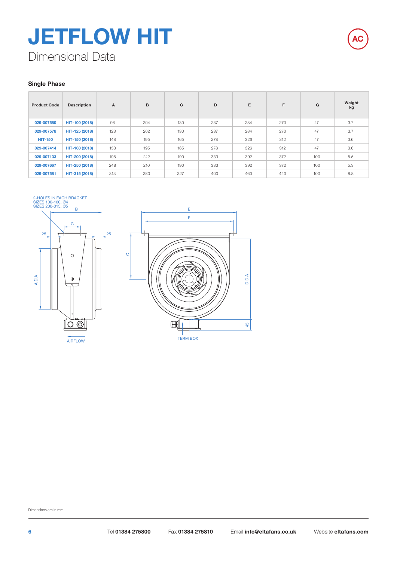### Dimensional Data **JETFLOW HIT**



#### **Single Phase**

| <b>Product Code</b> | <b>Description</b> | $\mathsf{A}$ | в   | C   | D   | E   | F   | G   | Weight<br>kg |
|---------------------|--------------------|--------------|-----|-----|-----|-----|-----|-----|--------------|
| 029-007580          | HIT-100 (2018)     | 98           | 204 | 130 | 237 | 284 | 270 | 47  | 3.7          |
| 029-007578          | HIT-125 (2018)     | 123          | 202 | 130 | 237 | 284 | 270 | 47  | 3.7          |
| <b>HIT-150</b>      | HIT-150 (2018)     | 148          | 195 | 165 | 278 | 326 | 312 | 47  | 3.6          |
| 029-007414          | HIT-160 (2018)     | 158          | 195 | 165 | 278 | 326 | 312 | 47  | 3.6          |
| 029-007133          | HIT-200 (2018)     | 198          | 242 | 190 | 333 | 392 | 372 | 100 | 5.5          |
| 029-007667          | HIT-250 (2018)     | 248          | 210 | 190 | 333 | 392 | 372 | 100 | 5.3          |
| 029-007581          | HIT-315 (2018)     | 313          | 280 | 227 | 400 | 460 | 440 | 100 | 8.8          |

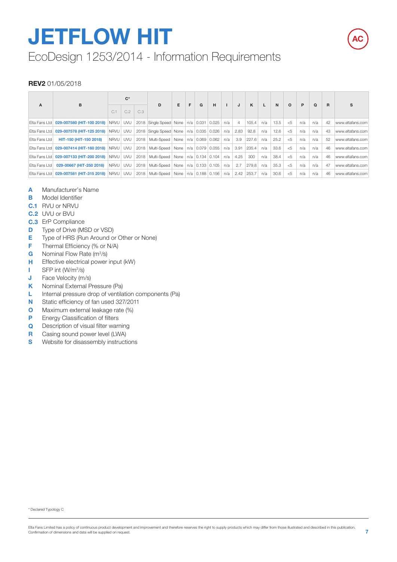# **JETFLOW HIT**

### EcoDesign 1253/2014 - Information Requirements

#### **REV2** 01/05/2018

| $\mathbf{A}$  | B                                                      |          | $C^*$ |      | D.                                                                   | E | F | G | H |     | J              | ĸ     |     | N    | $\Omega$ | P   | $\Omega$ | R. | s                |
|---------------|--------------------------------------------------------|----------|-------|------|----------------------------------------------------------------------|---|---|---|---|-----|----------------|-------|-----|------|----------|-----|----------|----|------------------|
|               |                                                        | C.1      | C.2   | C.3  |                                                                      |   |   |   |   |     |                |       |     |      |          |     |          |    |                  |
|               | Elta Fans Ltd   029-007580 (HIT-100 2018)              | NRVU UVU |       |      | 2018 Single Speed None   n/a   0.031   0.025                         |   |   |   |   | n/a | $\overline{4}$ | 105.4 | n/a | 13.5 | < 5      | n/a | n/a      | 42 | www.eltafans.com |
|               | Elta Fans Ltd   029-007578 (HIT-125 2018)              |          |       |      | NRVU UVU 2018 Single Speed None n/a 0.035 0.026                      |   |   |   |   |     | $n/a$ 2.83     | 92.8  | n/a | 12.6 | < 5      | n/a | n/a      | 43 | www.eltafans.com |
| Elta Fans Ltd | HIT-150 (HIT-150 2018)                                 | NRVU UVU |       |      | 2018   Multi-Speed   None   n/a   0.069   0.062                      |   |   |   |   | n/a | 3.9            | 227.6 | n/a | 25.2 | < 5      | n/a | n/a      | 52 | www.eltafans.com |
| Elta Fans Ltd | 029-007414 (HIT-160 2018) NRVU UVU                     |          |       |      | 2018   Multi-Speed   None   n/a   0.079   0.055                      |   |   |   |   |     | n/a 3.91       | 235.4 | n/a | 33.6 | < 5      | n/a | n/a      | 46 | www.eltafans.com |
|               | Elta Fans Ltd   029-007133 (HIT-200 2018)   NRVU   UVU |          |       | 2018 | Multi-Speed None n/a 0.134 0.104                                     |   |   |   |   | n/a | 4.25           | 300   | n/a | 38.4 | < 5      | n/a | n/a      | 46 | www.eltafans.com |
| Elta Fans Ltd | 029-00667 (HIT-250 2018)                               |          |       |      | NRVU UVU 2018 Multi-Speed None n/a 0.133 0.105 n/a 2.7               |   |   |   |   |     |                | 279.8 | n/a | 35.3 | < 5      | n/a | n/a      | 47 | www.eltafans.com |
|               | Elta Fans Ltd   029-007581 (HIT-315 2018)   NRVU   UVU |          |       |      | 2018   Multi-Speed   None   n/a   0.188   0.156   n/a   2.42   253.7 |   |   |   |   |     |                |       | n/a | 30.6 | < 5      | n/a | n/a      | 46 | www.eltafans.com |

- **A** Manufacturer's Name
- **B** Model Identifier
- **C.1** RVU or NRVU
- **C.2** UVU or BVU
- **C.3** ErP Compliance
- **D** Type of Drive (MSD or VSD)
- **E** Type of HRS (Run Around or Other or None)
- **F** Thermal Efficiency (% or N/A)
- **G** Nominal Flow Rate (m<sup>3</sup>/s)
- **H** Effective electrical power input (kW)
- **I** SFP int (W/m<sup>3</sup>/s)
- **J** Face Velocity (m/s)
- **K** Nominal External Pressure (Pa)
- **L** Internal pressure drop of ventilation components (Pa)
- **N** Static efficiency of fan used 327/2011
- **O** Maximum external leakage rate (%)
- **P** Energy Classification of filters
- **Q** Description of visual filter warning
- **R** Casing sound power level (LWA)
- **S** Website for disassembly instructions

\* Declared Typology C

**AC**

Elta Fans Limited has a policy of continuous product development and improvement and therefore reserves the right to supply products which may differ from those illustrated and described in this publication.<br>Confirmation o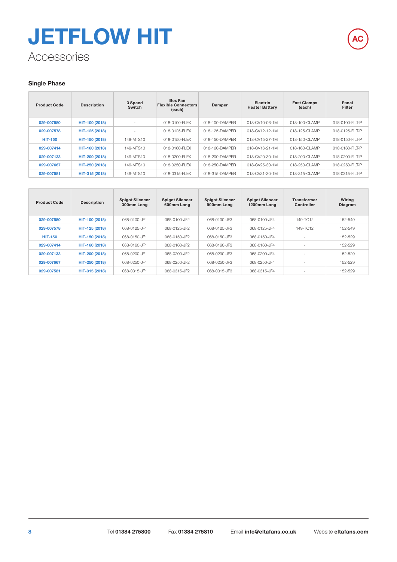### Accessories **JETFLOW HIT**



| <b>Product Code</b> | <b>Description</b> | 3 Speed<br>Switch | <b>Box Fan</b><br><b>Flexible Connectors</b><br>(each) | Damper         | <b>Electric</b><br><b>Heater Battery</b> | <b>Fast Clamps</b><br>(each) | Panel<br>Filter |
|---------------------|--------------------|-------------------|--------------------------------------------------------|----------------|------------------------------------------|------------------------------|-----------------|
| 029-007580          | HIT-100 (2018)     | $\sim$            | 018-0100-FLFX                                          | 018-100-DAMPFR | 018-CV10-06-1M                           | 018-100-CLAMP                | 018-0100-FILT-P |
| 029-007578          | HIT-125 (2018)     | $\sim$            | 018-0125-FLFX                                          | 018-125-DAMPFR | 018-CV12-12-1M                           | 018-125-CLAMP                | 018-0125-FILT-P |
| <b>HIT-150</b>      | HIT-150 (2018)     | 149-MTS10         | 018-0150-FLFX                                          | 018-150-DAMPFR | 018-CV15-27-1M                           | 018-150-CLAMP                | 018-0150-FILT-P |
| 029-007414          | HIT-160 (2018)     | 149-MTS10         | 018-0160-FLFX                                          | 018-160-DAMPFR | 018-CV16-21-1M                           | 018-160-CLAMP                | 018-0160-FILT-P |
| 029-007133          | HIT-200 (2018)     | 149-MTS10         | 018-0200-FLFX                                          | 018-200-DAMPFR | 018-CV20-30-1M                           | 018-200-CLAMP                | 018-0200-FILT-P |
| 029-007667          | HIT-250 (2018)     | 149-MTS10         | 018-0250-FLFX                                          | 018-250-DAMPFR | 018-CV25-30-1M                           | 018-250-CLAMP                | 018-0250-FILT-P |
| 029-007581          | HIT-315 (2018)     | 149-MTS10         | 018-0315-FLFX                                          | 018-315-DAMPFR | 018-CV31-30-1M                           | 018-315-CLAMP                | 018-0315-FILT-P |

| <b>Product Code</b> | <b>Description</b> | <b>Spigot Silencer</b><br>300mm Long | <b>Spigot Silencer</b><br>600mm Long | <b>Spigot Silencer</b><br>900mm Long | <b>Spigot Silencer</b><br>1200mm Long | <b>Transformer</b><br>Controller | Wiring<br>Diagram |
|---------------------|--------------------|--------------------------------------|--------------------------------------|--------------------------------------|---------------------------------------|----------------------------------|-------------------|
| 029-007580          | HIT-100 (2018)     | 068-0100-JF1                         | 068-0100-JF2                         | 068-0100-JF3                         | 068-0100-JF4                          | 149-TC12                         | 152-549           |
| 029-007578          | HIT-125 (2018)     | 068-0125-JF1                         | 068-0125-JF2                         | 068-0125-JF3                         | 068-0125-JF4                          | 149-TC12                         | 152-549           |
| <b>HIT-150</b>      | HIT-150 (2018)     | 068-0150-JF1                         | 068-0150-JF2                         | 068-0150-JF3                         | 068-0150-JF4                          | $\sim$                           | 152-529           |
| 029-007414          | HIT-160 (2018)     | 068-0160-JF1                         | 068-0160-JF2                         | 068-0160-JF3                         | 068-0160-JF4                          | - 11                             | 152-529           |
| 029-007133          | HIT-200 (2018)     | 068-0200-JF1                         | 068-0200-JF2                         | 068-0200-JF3                         | 068-0200-JF4                          | - 11                             | 152-529           |
| 029-007667          | HIT-250 (2018)     | 068-0250-JF1                         | 068-0250-JF2                         | 068-0250-JF3                         | 068-0250-JF4                          | . .                              | 152-529           |
| 029-007581          | HIT-315 (2018)     | 068-0315-JF1                         | 068-0315-JF2                         | 068-0315-JF3                         | 068-0315-JF4                          | <b>.</b>                         | 152-529           |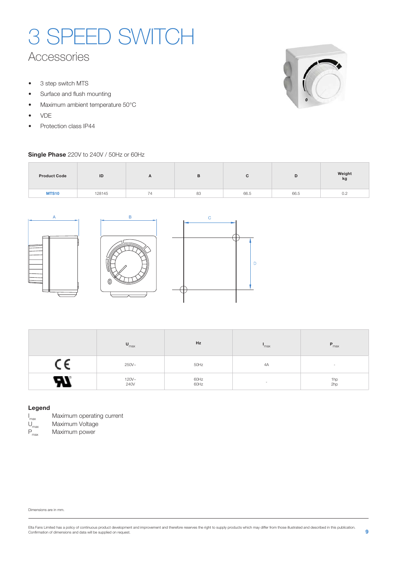### Accessories 3 SPEED SWITCH

- 3 step switch MTS
- Surface and flush mounting
- Maximum ambient temperature 50°C
- VDE
- Protection class IP44

#### **Single Phase** 220V to 240V / 50Hz or 60Hz



| <b>Product Code</b> | ID     | $\mathbf{A}$                    | в  |      | ப    | Weight<br>kg |
|---------------------|--------|---------------------------------|----|------|------|--------------|
| <b>MTS10</b>        | 128145 | $\overline{\phantom{0}}$<br>(4) | 83 | 66.5 | 66.5 | 0.2          |

 $\overline{D}$ 



| $U_{\text{max}}$ | Hz           | max    | $P_{max}$  |
|------------------|--------------|--------|------------|
| $250V -$         | 50Hz         | 4A     | $\sim$     |
| $120V -$<br>240V | 60Hz<br>60Hz | $\sim$ | 1hp<br>2hp |

#### **Legend**



Maximum operating current

 $U_{\text{max}}$  Maximum Voltage<br> $P_{\text{max}}$  Maximum power Maximum power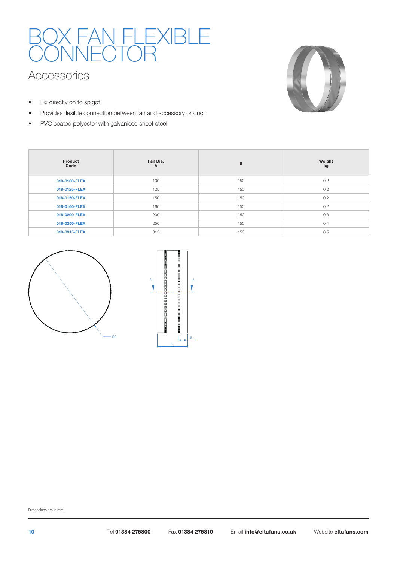## BOX FAN FLEXIBLE **CONNECTOR**

### Accessories

• Fix directly on to spigot

 $\overline{\phantom{a}}$ 

- Provides flexible connection between fan and accessory or duct
- PVC coated polyester with galvanised sheet steel



| Product<br>Code | Fan Dia.<br>A | B   | Weight<br>kg |
|-----------------|---------------|-----|--------------|
| 018-0100-FLEX   | 100           | 150 | 0.2          |
| 018-0125-FLEX   | 125           | 150 | 0.2          |
| 018-0150-FLEX   | 150           | 150 | 0.2          |
| 018-0160-FLEX   | 160           | 150 | 0.2          |
| 018-0200-FLEX   | 200           | 150 | 0.3          |
| 018-0250-FLEX   | 250           | 150 | 0.4          |
| 018-0315-FLEX   | 315           | 150 | 0.5          |



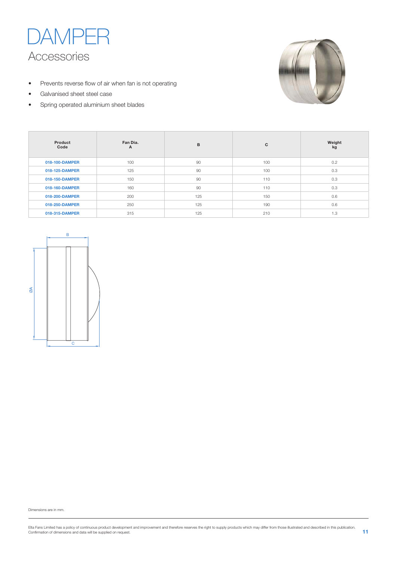

- Prevents reverse flow of air when fan is not operating
- Galvanised sheet steel case
- Spring operated aluminium sheet blades



| Product<br>Code | Fan Dia.<br>A | B   | C   | Weight<br>kg |
|-----------------|---------------|-----|-----|--------------|
| 018-100-DAMPER  | 100           | 90  | 100 | 0.2          |
| 018-125-DAMPER  | 125           | 90  | 100 | 0.3          |
| 018-150-DAMPER  | 150           | 90  | 110 | 0.3          |
| 018-160-DAMPER  | 160           | 90  | 110 | 0.3          |
| 018-200-DAMPER  | 200           | 125 | 150 | 0.6          |
| 018-250-DAMPER  | 250           | 125 | 190 | 0.6          |
| 018-315-DAMPER  | 315           | 125 | 210 | 1.3          |

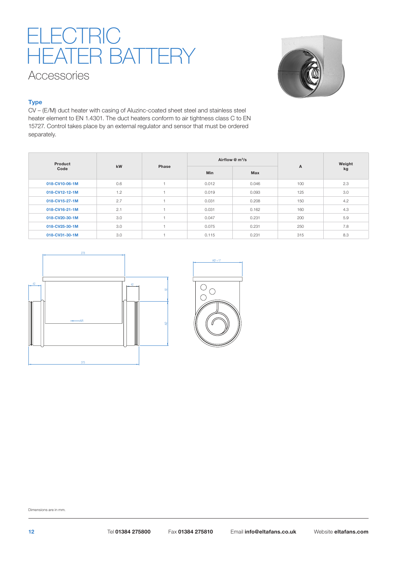### Accessories ELECTRIC HEATER BATTERY



#### **Type**

CV – (E/M) duct heater with casing of Aluzinc-coated sheet steel and stainless steel heater element to EN 1.4301. The duct heaters conform to air tightness class C to EN 15727. Control takes place by an external regulator and sensor that must be ordered separately.

| Product        |     |       |            | Airflow $\mathcal Q$ m <sup>3</sup> /s |              | Weight |  |
|----------------|-----|-------|------------|----------------------------------------|--------------|--------|--|
| Code           | kW  | Phase | <b>Min</b> | Max                                    | $\mathsf{A}$ | kg     |  |
| 018-CV10-06-1M | 0.6 |       | 0.012      | 0.046                                  | 100          | 2.3    |  |
| 018-CV12-12-1M | 1.2 |       | 0.019      | 0.093                                  | 125          | 3.0    |  |
| 018-CV15-27-1M | 2.7 |       | 0.031      | 0.208                                  | 150          | 4.2    |  |
| 018-CV16-21-1M | 2.1 |       | 0.031      | 0.162                                  | 160          | 4.3    |  |
| 018-CV20-30-1M | 3.0 |       | 0.047      | 0.231                                  | 200          | 5.9    |  |
| 018-CV25-30-1M | 3.0 |       | 0.075      | 0.231                                  | 250          | 7.8    |  |
| 018-CV31-30-1M | 3.0 |       | 0.115      | 0.231                                  | 315          | 8.3    |  |



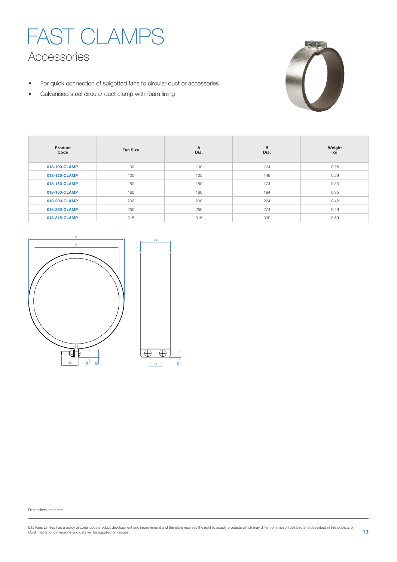



- For quick connection of spigotted fans to circular duct or accessories
- Galvanised steel circular duct clamp with foam lining

| Product<br>Code | <b>Fan Size</b> | A<br>Dia. | B<br>Dia. | Weight<br>kg |
|-----------------|-----------------|-----------|-----------|--------------|
| 018-100-CLAMP   | 100             | 100       | 124       | 0.25         |
| 018-125-CLAMP   | 125             | 125       | 149       | 0.29         |
| 018-150-CLAMP   | 150             | 150       | 174       | 0.33         |
| 018-160-CLAMP   | 160             | 160       | 184       | 0.35         |
| 018-200-CLAMP   | 200             | 200       | 224       | 0.42         |
| 018-250-CLAMP   | 250             | 250       | 274       | 0.49         |
| 018-315-CLAMP   | 315             | 315       | 339       | 0.59         |

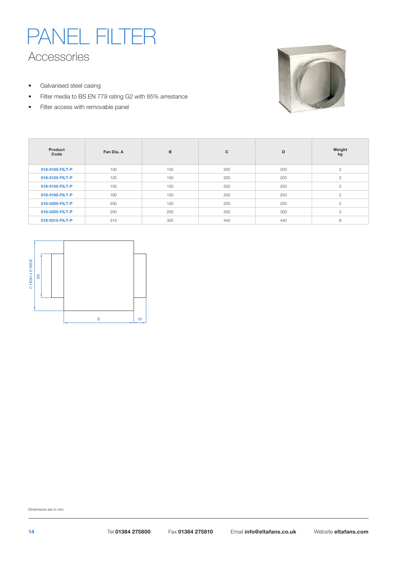### Accessories PANEL FILTE

- Galvanised steel casing
- Filter media to BS EN 779 rating G2 with 85% arrestance
- Filter access with removable panel



| Product<br>Code | Fan Dia, A | B   | C   | D   | Weight<br>kg   |
|-----------------|------------|-----|-----|-----|----------------|
| 018-0100-FILT-P | 100        | 155 | 200 | 200 | $\overline{2}$ |
| 018-0125-FILT-P | 125        | 155 | 200 | 200 | $\overline{2}$ |
| 018-0150-FILT-P | 150        | 155 | 250 | 250 | $\mathbf{2}$   |
| 018-0160-FILT-P | 160        | 155 | 250 | 250 | $\overline{2}$ |
| 018-0200-FILT-P | 200        | 155 | 250 | 250 | $\overline{c}$ |
| 018-0250-FILT-P | 250        | 200 | 300 | 300 | 3              |
| 018-0315-FILT-P | 315        | 300 | 440 | 440 | 8              |

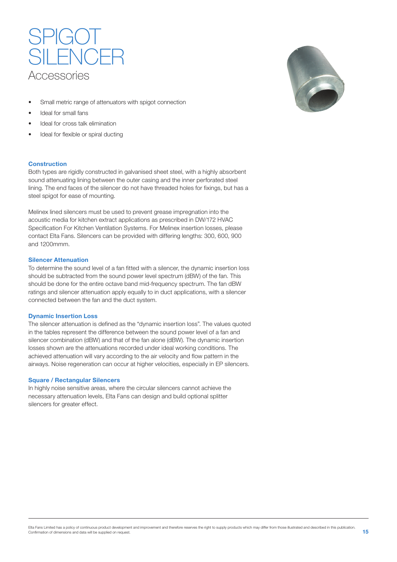

- Small metric range of attenuators with spigot connection
- Ideal for small fans
- Ideal for cross talk elimination
- Ideal for flexible or spiral ducting

#### **Construction**

Both types are rigidly constructed in galvanised sheet steel, with a highly absorbent sound attenuating lining between the outer casing and the inner perforated steel lining. The end faces of the silencer do not have threaded holes for fixings, but has a steel spigot for ease of mounting.

Melinex lined silencers must be used to prevent grease impregnation into the acoustic media for kitchen extract applications as prescribed in DW/172 HVAC Specification For Kitchen Ventilation Systems. For Melinex insertion losses, please contact Elta Fans. Silencers can be provided with differing lengths: 300, 600, 900 and 1200mmm.

#### **Silencer Attenuation**

To determine the sound level of a fan fitted with a silencer, the dynamic insertion loss should be subtracted from the sound power level spectrum (dBW) of the fan. This should be done for the entire octave band mid-frequency spectrum. The fan dBW ratings and silencer attenuation apply equally to in duct applications, with a silencer connected between the fan and the duct system.

#### **Dynamic Insertion Loss**

The silencer attenuation is defined as the "dynamic insertion loss". The values quoted in the tables represent the difference between the sound power level of a fan and silencer combination (dBW) and that of the fan alone (dBW). The dynamic insertion losses shown are the attenuations recorded under ideal working conditions. The achieved attenuation will vary according to the air velocity and flow pattern in the airways. Noise regeneration can occur at higher velocities, especially in EP silencers.

#### **Square / Rectangular Silencers**

In highly noise sensitive areas, where the circular silencers cannot achieve the necessary attenuation levels, Elta Fans can design and build optional splitter silencers for greater effect.

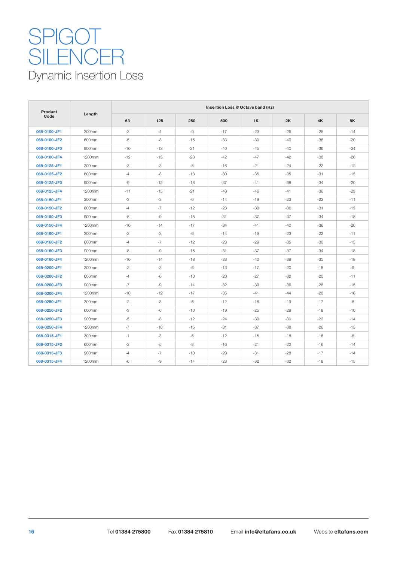### Dynamic Insertion Loss **SPIGOT** SILENCER

| Product      |        |       |       |       |       | Insertion Loss @ Octave band (Hz) |       |       |           |
|--------------|--------|-------|-------|-------|-------|-----------------------------------|-------|-------|-----------|
| Code         | Length | 63    | 125   | 250   | 500   | 1K                                | 2K    | 4K    | <b>8K</b> |
| 068-0100-JF1 | 300mm  | -3    | $-4$  | $-9$  | $-17$ | $-23$                             | $-26$ | $-25$ | $-14$     |
| 068-0100-JF2 | 600mm  | $-5$  | -8    | $-15$ | $-33$ | $-39$                             | $-40$ | $-36$ | $-20$     |
| 068-0100-JF3 | 900mm  | $-10$ | $-13$ | $-21$ | $-40$ | $-45$                             | $-40$ | $-36$ | $-24$     |
| 068-0100-JF4 | 1200mm | $-12$ | $-15$ | $-23$ | $-42$ | $-47$                             | $-42$ | $-38$ | $-26$     |
| 068-0125-JF1 | 300mm  | -3    | -3    | -8    | $-16$ | $-21$                             | $-24$ | $-22$ | $-12$     |
| 068-0125-JF2 | 600mm  | $-4$  | -8    | $-13$ | $-30$ | $-35$                             | $-35$ | $-31$ | $-15$     |
| 068-0125-JF3 | 900mm  | -9    | $-12$ | $-18$ | $-37$ | $-41$                             | $-38$ | $-34$ | $-20$     |
| 068-0125-JF4 | 1200mm | $-11$ | $-15$ | $-21$ | $-40$ | $-46$                             | $-41$ | $-36$ | $-23$     |
| 068-0150-JF1 | 300mm  | -3    | -3    | $-6$  | $-14$ | $-19$                             | $-23$ | $-22$ | $-11$     |
| 068-0150-JF2 | 600mm  | $-4$  | $-7$  | $-12$ | $-23$ | $-30$                             | $-36$ | $-31$ | $-15$     |
| 068-0150-JF3 | 900mm  | -8    | $-9$  | $-15$ | $-31$ | $-37$                             | $-37$ | $-34$ | $-18$     |
| 068-0150-JF4 | 1200mm | $-10$ | $-14$ | $-17$ | $-34$ | $-41$                             | $-40$ | $-36$ | $-20$     |
| 068-0160-JF1 | 300mm  | -3    | $-3$  | $-6$  | $-14$ | $-19$                             | $-23$ | $-22$ | $-11$     |
| 068-0160-JF2 | 600mm  | $-4$  | $-7$  | $-12$ | $-23$ | $-29$                             | $-35$ | $-30$ | $-15$     |
| 068-0160-JF3 | 900mm  | -8    | $-9$  | $-15$ | $-31$ | $-37$                             | $-37$ | $-34$ | $-18$     |
| 068-0160-JF4 | 1200mm | $-10$ | $-14$ | $-18$ | $-33$ | $-40$                             | $-39$ | $-35$ | $-18$     |
| 068-0200-JF1 | 300mm  | $-2$  | -3    | $-6$  | $-13$ | $-17$                             | $-20$ | $-18$ | -9        |
| 068-0200-JF2 | 600mm  | $-4$  | -6    | $-10$ | $-20$ | $-27$                             | -32   | $-20$ | $-11$     |
| 068-0200-JF3 | 900mm  | $-7$  | $-9$  | $-14$ | $-32$ | $-39$                             | $-36$ | $-26$ | $-15$     |
| 068-0200-JF4 | 1200mm | $-10$ | $-12$ | $-17$ | $-35$ | $-41$                             | $-44$ | $-28$ | $-16$     |
| 068-0250-JF1 | 300mm  | $-2$  | $-3$  | $-6$  | $-12$ | $-16$                             | $-19$ | $-17$ | -8        |
| 068-0250-JF2 | 600mm  | -3    | -6    | $-10$ | $-19$ | $-25$                             | $-29$ | $-18$ | $-10$     |
| 068-0250-JF3 | 900mm  | $-5$  | -8    | $-12$ | $-24$ | -30                               | $-30$ | $-22$ | $-14$     |
| 068-0250-JF4 | 1200mm | $-7$  | $-10$ | $-15$ | $-31$ | -37                               | $-38$ | $-26$ | $-15$     |
| 068-0315-JF1 | 300mm  | $-1$  | -3    | -6    | $-12$ | $-15$                             | $-18$ | $-16$ | $-8$      |
| 068-0315-JF2 | 600mm  | -3    | $-5$  | -8    | $-16$ | $-21$                             | $-22$ | $-16$ | $-14$     |
| 068-0315-JF3 | 900mm  | $-4$  | $-7$  | $-10$ | $-20$ | $-31$                             | $-28$ | $-17$ | $-14$     |
| 068-0315-JF4 | 1200mm | $-6$  | -9    | $-14$ | $-23$ | $-32$                             | $-32$ | $-18$ | $-15$     |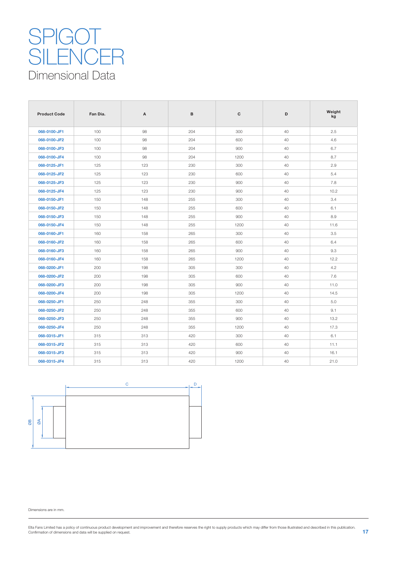### Dimensional Data **SPIGOT** SILENCER

| <b>Product Code</b> | Fan Dia. | A   | в   | c    | D  | Weight<br>kg |
|---------------------|----------|-----|-----|------|----|--------------|
| 068-0100-JF1        | 100      | 98  | 204 | 300  | 40 | 2.5          |
| 068-0100-JF2        | 100      | 98  | 204 | 600  | 40 | 4.6          |
| 068-0100-JF3        | 100      | 98  | 204 | 900  | 40 | 6.7          |
| 068-0100-JF4        | 100      | 98  | 204 | 1200 | 40 | 8.7          |
| 068-0125-JF1        | 125      | 123 | 230 | 300  | 40 | 2.9          |
| 068-0125-JF2        | 125      | 123 | 230 | 600  | 40 | 5.4          |
| 068-0125-JF3        | 125      | 123 | 230 | 900  | 40 | 7.8          |
| 068-0125-JF4        | 125      | 123 | 230 | 900  | 40 | 10.2         |
| 068-0150-JF1        | 150      | 148 | 255 | 300  | 40 | 3.4          |
| 068-0150-JF2        | 150      | 148 | 255 | 600  | 40 | 6.1          |
| 068-0150-JF3        | 150      | 148 | 255 | 900  | 40 | 8.9          |
| 068-0150-JF4        | 150      | 148 | 255 | 1200 | 40 | 11.6         |
| 068-0160-JF1        | 160      | 158 | 265 | 300  | 40 | 3.5          |
| 068-0160-JF2        | 160      | 158 | 265 | 600  | 40 | 6.4          |
| 068-0160-JF3        | 160      | 158 | 265 | 900  | 40 | 9.3          |
| 068-0160-JF4        | 160      | 158 | 265 | 1200 | 40 | 12.2         |
| 068-0200-JF1        | 200      | 198 | 305 | 300  | 40 | 4.2          |
| 068-0200-JF2        | 200      | 198 | 305 | 600  | 40 | 7.6          |
| 068-0200-JF3        | 200      | 198 | 305 | 900  | 40 | 11.0         |
| 068-0200-JF4        | 200      | 198 | 305 | 1200 | 40 | 14.5         |
| 068-0250-JF1        | 250      | 248 | 355 | 300  | 40 | 5.0          |
| 068-0250-JF2        | 250      | 248 | 355 | 600  | 40 | 9.1          |
| 068-0250-JF3        | 250      | 248 | 355 | 900  | 40 | 13.2         |
| 068-0250-JF4        | 250      | 248 | 355 | 1200 | 40 | 17.3         |
| 068-0315-JF1        | 315      | 313 | 420 | 300  | 40 | 6.1          |
| 068-0315-JF2        | 315      | 313 | 420 | 600  | 40 | 11.1         |
| 068-0315-JF3        | 315      | 313 | 420 | 900  | 40 | 16.1         |
| 068-0315-JF4        | 315      | 313 | 420 | 1200 | 40 | 21.0         |

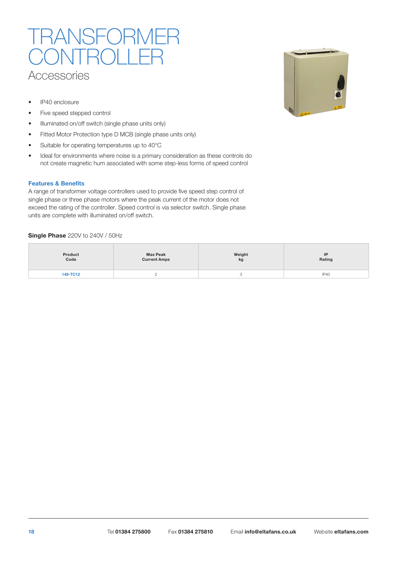### **Accessories** JSFORI  $\mathcal{L}(\lambda)$

- IP40 enclosure
- Five speed stepped control
- Illuminated on/off switch (single phase units only)
- Fitted Motor Protection type D MCB (single phase units only)
- Suitable for operating temperatures up to 40°C
- Ideal for environments where noise is a primary consideration as these controls do not create magnetic hum associated with some step-less forms of speed control

#### **Features & Benefits**

A range of transformer voltage controllers used to provide five speed step control of single phase or three phase motors where the peak current of the motor does not exceed the rating of the controller. Speed control is via selector switch. Single phase units are complete with illuminated on/off switch.

#### **Single Phase** 220V to 240V / 50Hz

| Product  | <b>Max Peak</b>     | Weight | IP     |
|----------|---------------------|--------|--------|
| Code     | <b>Current Amps</b> | kg     | Rating |
| 149-TC12 |                     |        | IP40   |

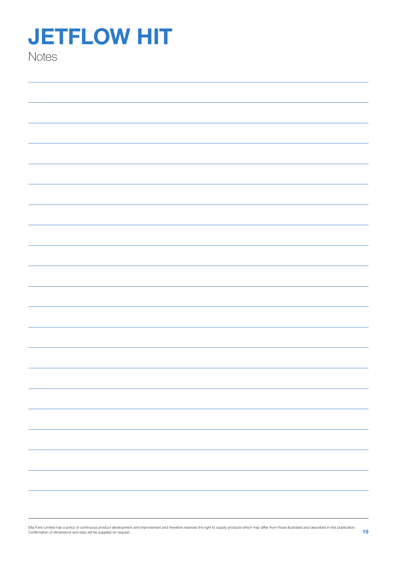## **JETFLOW HIT**

**Notes**